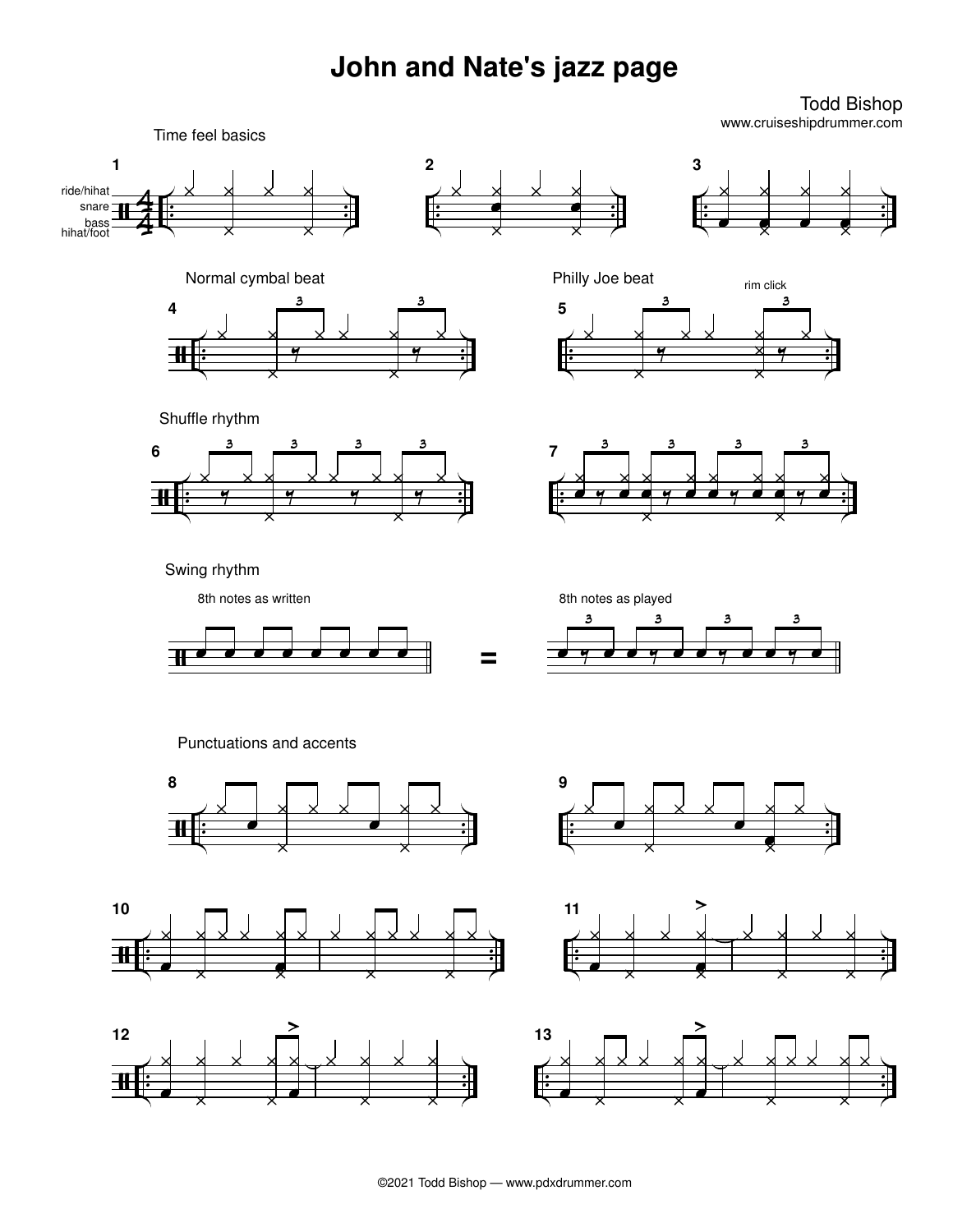## **John and Nate's jazz page**

Todd Bishop www.cruiseshipdrummer.com